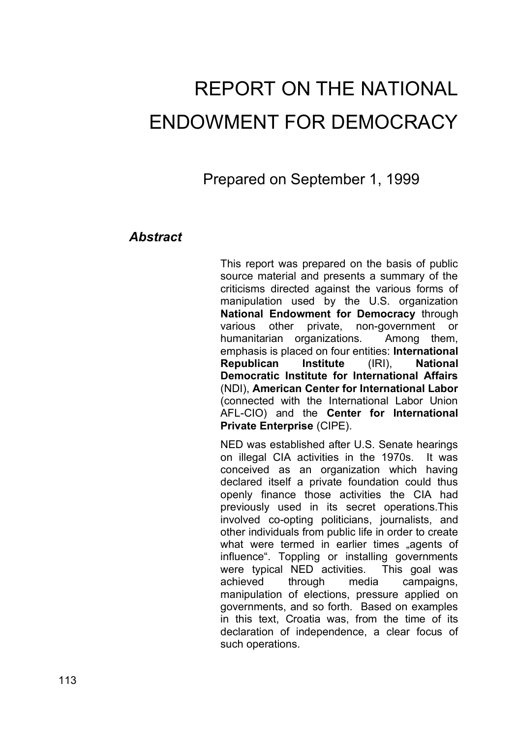# REPORT ON THE NATIONAL ENDOWMENT FOR DEMOCRACY

Prepared on September 1, 1999

## *Abstract*

This report was prepared on the basis of public source material and presents a summary of the criticisms directed against the various forms of manipulation used by the U.S. organization **National Endowment for Democracy** through various other private, non-government or humanitarian organizations. Among them, emphasis is placed on four entities: **International Republican Institute** (IRI), **National Democratic Institute for International Affairs** (NDI), **American Center for International Labor** (connected with the International Labor Union AFL-CIO) and the **Center for International Private Enterprise** (CIPE).

NED was established after U.S. Senate hearings on illegal CIA activities in the 1970s. It was conceived as an organization which having declared itself a private foundation could thus openly finance those activities the CIA had previously used in its secret operations.This involved co-opting politicians, journalists, and other individuals from public life in order to create what were termed in earlier times "agents of influence". Toppling or installing governments were typical NED activities. This goal was achieved through media campaigns, manipulation of elections, pressure applied on governments, and so forth. Based on examples in this text, Croatia was, from the time of its declaration of independence, a clear focus of such operations.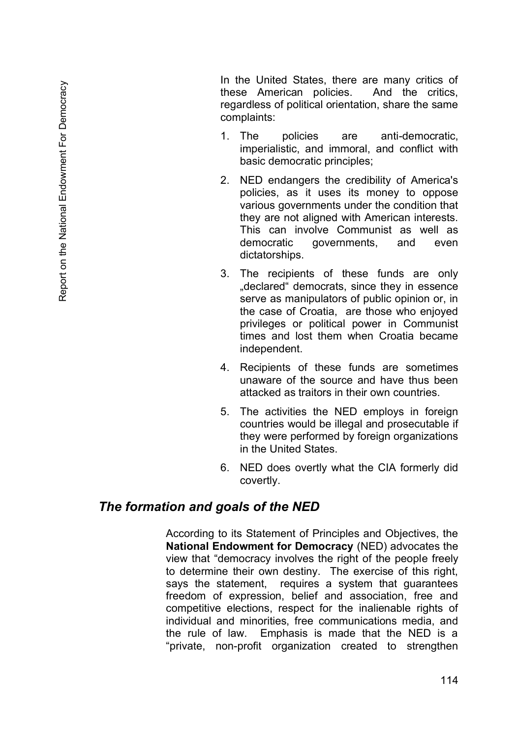In the United States, there are many critics of these American policies. And the critics, regardless of political orientation, share the same complaints:

- 1. The policies are anti-democratic, imperialistic, and immoral, and conflict with basic democratic principles;
- 2. NED endangers the credibility of America's policies, as it uses its money to oppose various governments under the condition that they are not aligned with American interests. This can involve Communist as well as democratic governments, and even dictatorships.
- 3. The recipients of these funds are only ..declared "democrats, since they in essence serve as manipulators of public opinion or, in the case of Croatia, are those who enjoyed privileges or political power in Communist times and lost them when Croatia became independent.
- 4. Recipients of these funds are sometimes unaware of the source and have thus been attacked as traitors in their own countries.
- 5. The activities the NED employs in foreign countries would be illegal and prosecutable if they were performed by foreign organizations in the United States.
- 6. NED does overtly what the CIA formerly did covertly.

### *The formation and goals of the NED*

According to its Statement of Principles and Objectives, the **National Endowment for Democracy** (NED) advocates the view that "democracy involves the right of the people freely to determine their own destiny. The exercise of this right, says the statement, requires a system that guarantees freedom of expression, belief and association, free and competitive elections, respect for the inalienable rights of individual and minorities, free communications media, and the rule of law. Emphasis is made that the NED is a "private, non-profit organization created to strengthen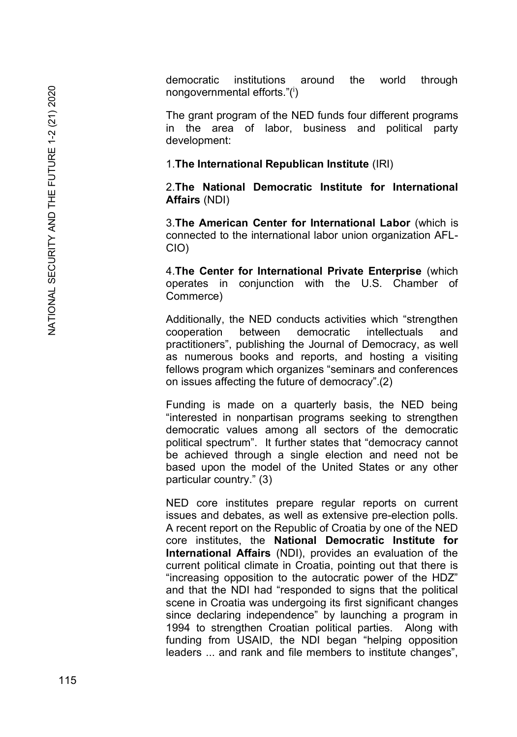democratic institutions around the world through nongovernmental efforts."(<sup>i</sup>)

The grant program of the NED funds four different programs in the area of labor, business and political party development:

1.**The International Republican Institute** (IRI)

2.**The National Democratic Institute for International Affairs** (NDI)

3.**The American Center for International Labor** (which is connected to the international labor union organization AFL - CIO)

4.**The Center for International Private Enterprise** (which operates in conjunction with the U.S. Chamber of Commerce)

Additionally, the NED conducts activities which "strengthen cooperation between democratic intellectuals and practitioners", publishing the Journal of Democracy, as well as numerous books and reports, and hosting a visiting fellows program which organizes "seminars and conferences on issues affecting the future of democracy".(2)

Funding is made on a quarterly basis, the NED being "interested in nonpartisan programs seeking to strengthen democratic values among all sectors of the democratic political spectrum". It further states that "democracy cannot be achieved through a single election and need not be based upon the model of the United States or any other particular country." (3)

NED core institutes prepare regular reports on current issues and debates, as well as extensive pre -election polls. A recent report on the Republic of Croatia by one of the NED core institutes, the **National Democratic Institute for International Affairs** (NDI), provides an evaluation of the current political climate in Croatia, pointing out that there is "increasing opposition to the autocratic power of the HDZ" and that the NDI had "responded to signs that the political scene in Croatia was undergoing its first significant changes since declaring independence" by launching a program in 1994 to strengthen Croatian political parties. Along with funding from USAID, the NDI began "helping opposition leaders ... and rank and file members to institute changes",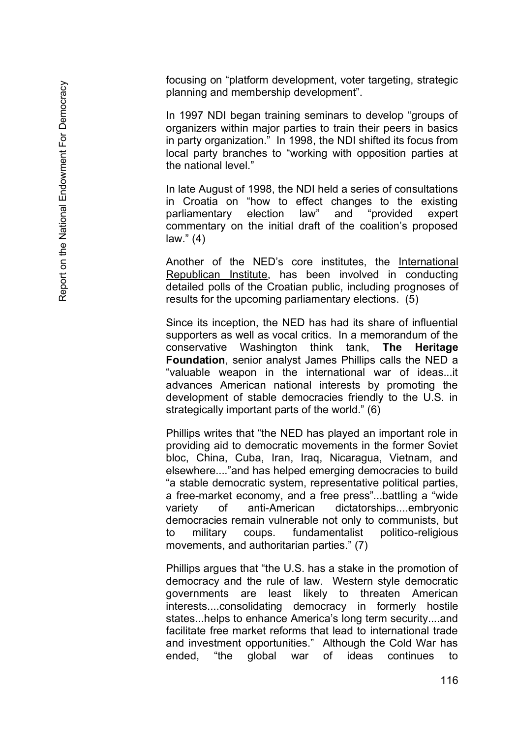focusing on "platform development, voter targeting, strategic planning and membership development".

In 1997 NDI began training seminars to develop "groups of organizers within major parties to train their peers in basics in party organization." In 1998, the NDI shifted its focus from local party branches to "working with opposition parties at the national level."

In late August of 1998, the NDI held a series of consultations in Croatia on "how to effect changes to the existing parliamentary election law" and "provided expert commentary on the initial draft of the coalition's proposed law." (4)

Another of the NED's core institutes, the International Republican Institute, has been involved in conducting detailed polls of the Croatian public, including prognoses of results for the upcoming parliamentary elections. (5)

Since its inception, the NED has had its share of influential supporters as well as vocal critics. In a memorandum of the conservative Washington think tank, **The Heritage Foundation**, senior analyst James Phillips calls the NED a "valuable weapon in the international war of ideas...it advances American national interests by promoting the development of stable democracies friendly to the U.S. in strategically important parts of the world." (6)

Phillips writes that "the NED has played an important role in providing aid to democratic movements in the former Soviet bloc, China, Cuba, Iran, Iraq, Nicaragua, Vietnam, and elsewhere...."and has helped emerging democracies to build "a stable democratic system, representative political parties, a free -market economy, and a free press"...battling a "wide variety of anti-American dictatorships....embryonic democracies remain vulnerable not only to communists, but to military coups. fundamentalist politico-religious movements, and authoritarian parties." (7)

Phillips argues that "the U.S. has a stake in the promotion of democracy and the rule of law. Western style democratic governments are least likely to threaten American interests....consolidating democracy in formerly hostile states...helps to enhance America's long term security....and facilitate free market reforms that lead to international trade and investment opportunities." Although the Cold War has ended, "the global war of ideas continues to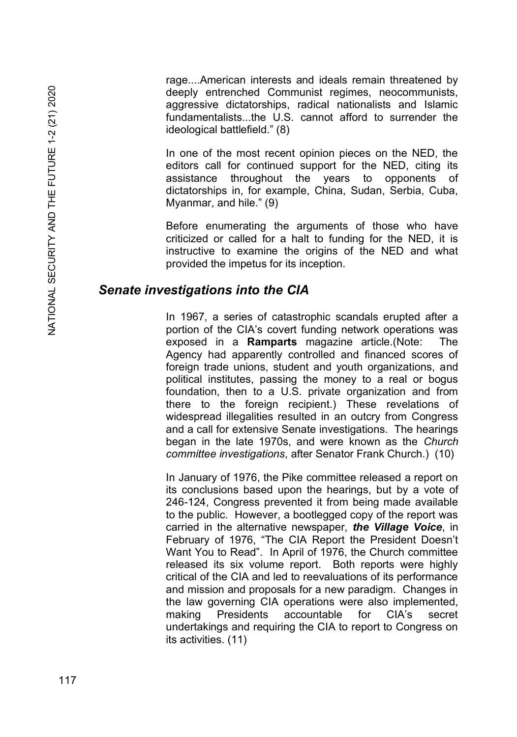rage....American interests and ideals remain threatened by deeply entrenched Communist regimes, neocommunists, aggressive dictatorships, radical nationalists and Islamic fundamentalists...the U.S. cannot afford to surrender the ideological battlefield." (8)

In one of the most recent opinion pieces on the NED, the editors call for continued support for the NED, citing its assistance throughout the years to opponents of dictatorships in, for example, China, Sudan, Serbia, Cuba, Myanmar, and hile." (9)

Before enumerating the arguments of those who have criticized or called for a halt to funding for the NED, it is instructive to examine the origins of the NED and what provided the impetus for its inception.

### *Senate investigations into the CIA*

In 1967, a series of catastrophic scandals erupted after a portion of the CIA's covert funding network operations was exposed in a **Ramparts** magazine article.(Note: The Agency had apparently controlled and financed scores of foreign trade unions, student and youth organizations, and political institutes, passing the money to a real or bogus foundation, then to a U.S. private organization and from there to the foreign recipient.) These revelations of widespread illegalities resulted in an outcry from Congress and a call for extensive Senate investigations. The hearings began in the late 1970s, and were known as the *Church committee investigations*, after Senator Frank Church.) (10)

In January of 1976, the Pike committee released a report on its conclusions based upon the hearings, but by a vote of 246-124, Congress prevented it from being made available to the public. However, a bootlegged copy of the report was carried in the alternative newspaper, *the Village Voice*, in February of 1976, "The CIA Report the President Doesn't Want You to Read". In April of 1976, the Church committee released its six volume report. Both reports were highly critical of the CIA and led to reevaluations of its performance and mission and proposals for a new paradigm. Changes in the law governing CIA operations were also implemented, making Presidents accountable for CIA's secret undertakings and requiring the CIA to report to Congress on its activities. (11)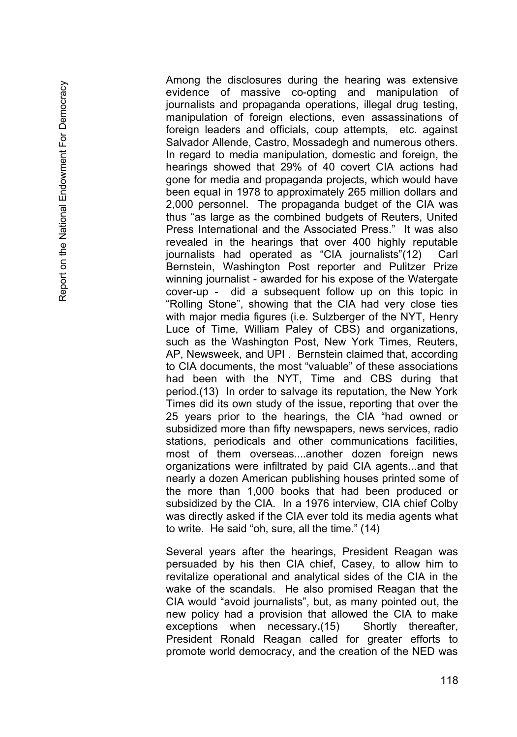Among the disclosures during the hearing was extensive evidence of massive co -opting and manipulation of journalists and propaganda operations, illegal drug testing, manipulation of foreign elections, even assassinations of foreign leaders and officials, coup attempts, etc. against Salvador Allende, Castro, Mossadegh and numerous others. In regard to media manipulation, domestic and foreign, the hearings showed that 29% of 40 covert CIA actions had gone for media and propaganda projects, which would have been equal in 1978 to approximately 265 million dollars and 2,000 personnel. The propaganda budget of the CIA was thus "as large as the combined budgets of Reuters, United Press International and the Associated Press." It was also revealed in the hearings that over 400 highly reputable journalists had operated as "CIA journalists"(12) Carl Bernstein, Washington Post reporter and Pulitzer Prize winning journalist - awarded for his expose of the Watergate cover -up - did a subsequent follow up on this topic in "Rolling Stone", showing that the CIA had very close ties with major media figures (i.e. Sulzberger of the NYT, Henry Luce of Time, William Paley of CBS) and organizations, such as the Washington Post, New York Times, Reuters, AP, Newsweek, and UPI . Bernstein claimed that, according to CIA documents, the most "valuable" of these associations had been with the NYT, Time and CBS during that period.(13) In order to salvage its reputation, the New York Times did its own study of the issue, reporting that over the 25 years prior to the hearings, the CIA "had owned or subsidized more than fifty newspapers, news services, radio stations, periodicals and other communications facilities, most of them overseas....another dozen foreign news organizations were infiltrated by paid CIA agents...and that nearly a dozen American publishing houses printed some of the more than 1,000 books that had been produced or subsidized by the CIA. In a 1976 interview, CIA chief Colby was directly asked if the CIA ever told its media agents what to write. He said "oh, sure, all the time." (14)

Several years after the hearings, President Reagan was persuaded by his then CIA chief, Casey, to allow him to revitalize operational and analytical sides of the CIA in the wake of the scandals. He also promised Reagan that the CIA would "avoid journalists", but, as many pointed out, the new policy had a provision that allowed the CIA to make exceptions when necessary.(15) **Shortly** thereafter, President Ronald Reagan called for greater efforts to promote world democracy, and the creation of the NED was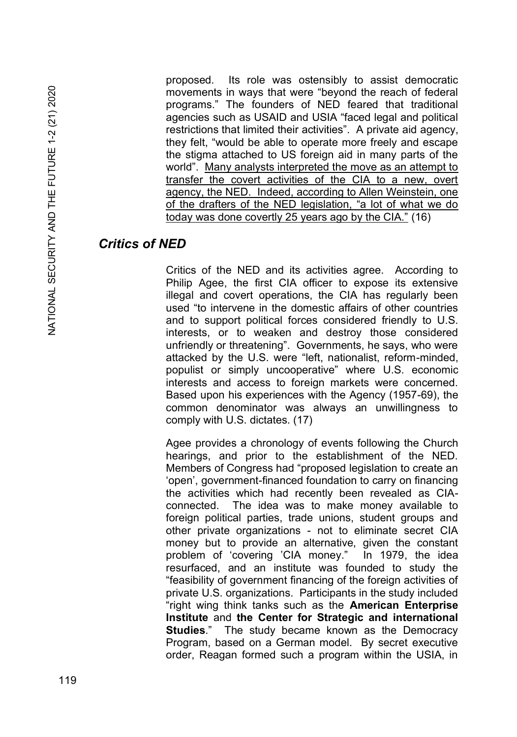proposed. Its role was ostensibly to assist democratic movements in ways that were "beyond the reach of federal programs." The founders of NED feared that traditional agencies such as USAID and USIA "faced legal and political restrictions that limited their activities". A private aid agency, they felt, "would be able to operate more freely and escape the stigma attached to US foreign aid in many parts of the world". Many analysts interpreted the move as an attempt to transfer the covert activities of the CIA to a new, overt agency, the NED. Indeed, according to Allen Weinstein, one of the drafters of the NED legislation, "a lot of what we do today was done covertly 25 years ago by the CIA." (16)

# *Critics of NED*

Critics of the NED and its activities agree. According to Philip Agee, the first CIA officer to expose its extensive illegal and covert operations, the CIA has regularly been used "to intervene in the domestic affairs of other countries and to support political forces considered friendly to U.S. interests, or to weaken and destroy those considered unfriendly or threatening". Governments, he says, who were attacked by the U.S. were "left, nationalist, reform-minded, populist or simply uncooperative" where U.S. economic interests and access to foreign markets were concerned. Based upon his experiences with the Agency (1957-69), the common denominator was always an unwillingness to comply with U.S. dictates. (17)

Agee provides a chronology of events following the Church hearings, and prior to the establishment of the NED. Members of Congress had "proposed legislation to create an 'open', government-financed foundation to carry on financing the activities which had recently been revealed as CIAconnected. The idea was to make money available to foreign political parties, trade unions, student groups and other private organizations - not to eliminate secret CIA money but to provide an alternative, given the constant problem of 'covering 'CIA money." In 1979, the idea resurfaced, and an institute was founded to study the "feasibility of government financing of the foreign activities of private U.S. organizations. Participants in the study included "right wing think tanks such as the **American Enterprise Institute** and **the Center for Strategic and international Studies**." The study became known as the Democracy Program, based on a German model. By secret executive order, Reagan formed such a program within the USIA, in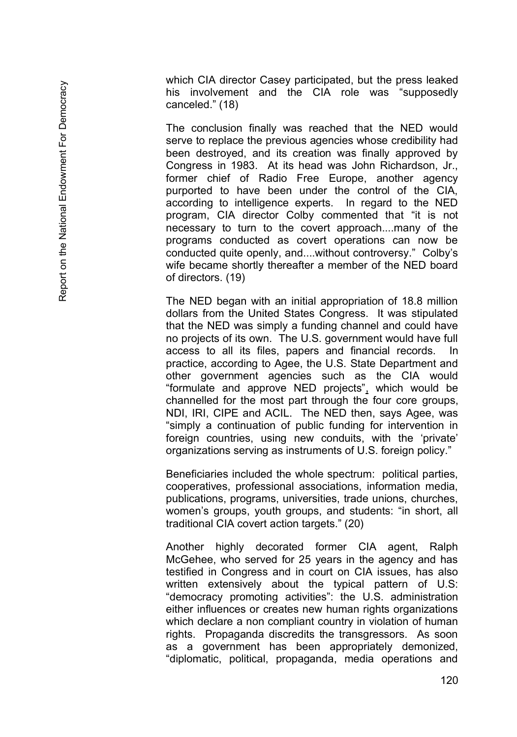which CIA director Casey participated, but the press leaked his involvement and the CIA role was "supposedly canceled." (18)

The conclusion finally was reached that the NED would serve to replace the previous agencies whose credibility had been destroyed, and its creation was finally approved by Congress in 1983. At its head was John Richardson, Jr., former chief of Radio Free Europe, another agency purported to have been under the control of the CIA, according to intelligence experts. In regard to the NED program, CIA director Colby commented that "it is not necessary to turn to the covert approach....many of the programs conducted as covert operations can now be conducted quite openly, and....without controversy." Colby's wife became shortly thereafter a member of the NED board of directors. (19)

The NED began with an initial appropriation of 18.8 million dollars from the United States Congress. It was stipulated that the NED was simply a funding channel and could have no projects of its own. The U.S. government would have full access to all its files, papers and financial records. In practice, according to Agee, the U.S. State Department and other government agencies such as the CIA would "formulate and approve NED projects" , which would be channelled for the most part through the four core groups, NDI, IRI, CIPE and ACIL. The NED then, says Agee, was "simply a continuation of public funding for intervention in foreign countries, using new conduits, with the 'private' organizations serving as instruments of U.S. foreign policy."

Beneficiaries included the whole spectrum: political parties, cooperatives, professional associations, information media, publications, programs, universities, trade unions, churches, women's groups, youth groups, and students: "in short, all traditional CIA covert action targets." (20)

Another highly decorated former CIA agent, Ralph McGehee, who served for 25 years in the agency and has testified in Congress and in court on CIA issues, has also written extensively about the typical pattern of U.S: "democracy promoting activities": the U.S. administration either influences or creates new human rights organizations which declare a non compliant country in violation of human rights. Propaganda discredits the transgressors. As soon as a government has been appropriately demonized, "diplomatic, political, propaganda, media operations and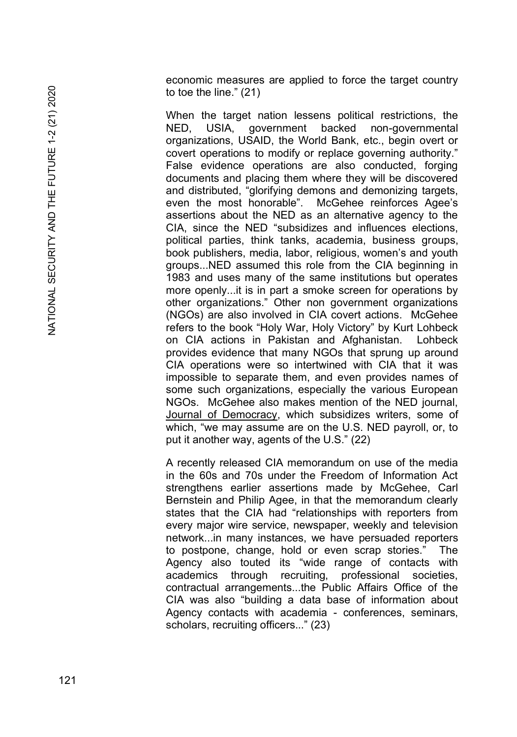economic measures are applied to force the target country to toe the line." (21)

When the target nation lessens political restrictions, the NED, USIA, government backed -governmental organizations, USAID, the World Bank, etc., begin overt or covert operations to modify or replace governing authority." False evidence operations are also conducted, forging documents and placing them where they will be discovered and distributed, "glorifying demons and demonizing targets, even the most honorable". McGehee reinforces Agee's assertions about the NED as an alternative agency to the CIA, since the NED "subsidizes and influences elections, political parties, think tanks, academia, business groups, book publishers, media, labor, religious, women's and youth groups...NED assumed this role from the CIA beginning in 1983 and uses many of the same institutions but operates more openly...it is in part a smoke screen for operations by other organizations." Other non government organizations (NGOs) are also involved in CIA covert actions. McGehee refers to the book "Holy War, Holy Victory" by Kurt Lohbeck on CIA actions in Pakistan and Afghanistan. Lohbeck provides evidence that many NGOs that sprung up around CIA operations were so intertwined with CIA that it was impossible to separate them, and even provides names of some such organizations, especially the various European NGOs. McGehee also makes mention of the NED journal, Journal of Democracy, which subsidizes writers, some of which, "we may assume are on the U.S. NED payroll, or, to put it another way, agents of the U.S." (22)

A recently released CIA memorandum on use of the media in the 60s and 70s under the Freedom of Information Act strengthens earlier assertions made by McGehee, Carl Bernstein and Philip Agee, in that the memorandum clearly states that the CIA had "relationships with reporters from every major wire service, newspaper, weekly and television network...in many instances, we have persuaded reporters to postpone, change, hold or even scrap stories." The Agency also touted its "wide range of contacts with academics through recruiting, professional societies, contractual arrangements...the Public Affairs Office of the CIA was also "building a data base of information about Agency contacts with academia - conferences, seminars, scholars, recruiting officers..." (23)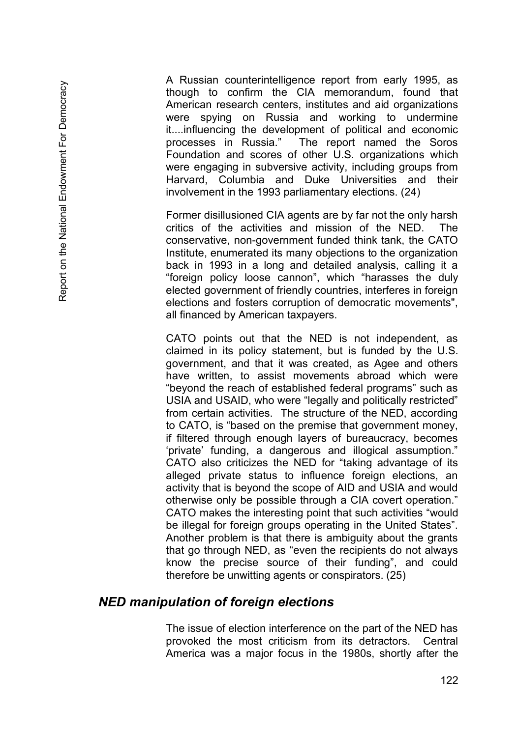A Russian counterintelligence report from early 1995, as though to confirm the CIA memorandum, found that American research centers, institutes and aid organizations were spying on Russia and working to undermine it....influencing the development of political and economic processes in Russia." The report named the Soros Foundation and scores of other U.S. organizations which were engaging in subversive activity, including groups from Harvard, Columbia and Duke Universities and their involvement in the 1993 parliamentary elections. (24)

Former disillusioned CIA agents are by far not the only harsh critics of the activities and mission of the NED. The conservative, non-government funded think tank, the CATO Institute, enumerated its many objections to the organization back in 1993 in a long and detailed analysis, calling it a "foreign policy loose cannon", which "harasses the duly elected government of friendly countries, interferes in foreign elections and fosters corruption of democratic movements", all financed by American taxpayers.

CATO points out that the NED is not independent, as claimed in its policy statement, but is funded by the U.S. government, and that it was created, as Agee and others have written, to assist movements abroad which were "beyond the reach of established federal programs" such as USIA and USAID, who were "legally and politically restricted" from certain activities. The structure of the NED, according to CATO, is "based on the premise that government money, if filtered through enough layers of bureaucracy, becomes 'private' funding, a dangerous and illogical assumption." CATO also criticizes the NED for "taking advantage of its alleged private status to influence foreign elections, an activity that is beyond the scope of AID and USIA and would otherwise only be possible through a CIA covert operation." CATO makes the interesting point that such activities "would be illegal for foreign groups operating in the United States". Another problem is that there is ambiguity about the grants that go through NED, as "even the recipients do not always know the precise source of their funding", and could therefore be unwitting agents or conspirators. (25)

### *NED manipulation of foreign elections*

The issue of election interference on the part of the NED has provoked the most criticism from its detractors. Central America was a major focus in the 1980s, shortly after the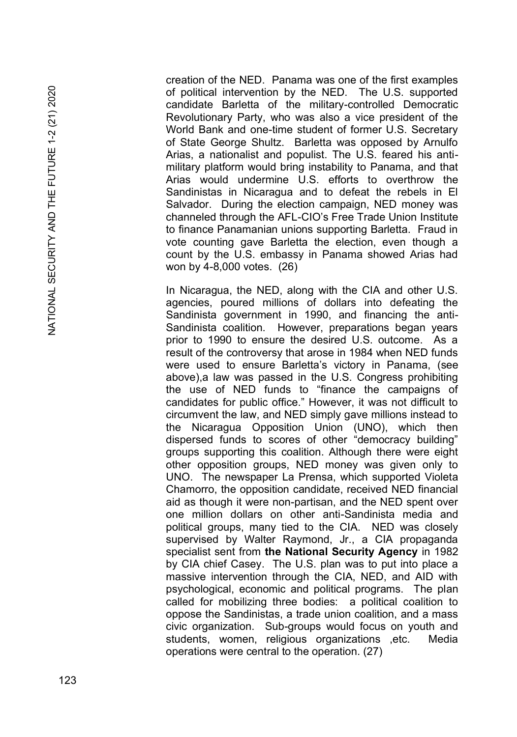creation of the NED. Panama was one of the first examples of political intervention by the NED. The U.S. supported candidate Barletta of the military -controlled Democratic Revolutionary Party, who was also a vice president of the World Bank and one -time student of former U.S. Secretary of State George Shultz. Barletta was opposed by Arnulfo Arias, a nationalist and populist. The U.S. feared his anti military platform would bring instability to Panama, and that Arias would undermine U.S. efforts to overthrow the Sandinistas in Nicaragua and to defeat the rebels in El Salvador. During the election campaign, NED money was channeled through the AFL -CIO's Free Trade Union Institute to finance Panamanian unions supporting Barletta. Fraud in vote counting gave Barletta the election, even though a count by the U.S. embassy in Panama showed Arias had won by 4 -8,000 votes. (26)

In Nicaragua, the NED, along with the CIA and other U.S. agencies, poured millions of dollars into defeating the Sandinista government in 1990, and financing the anti - Sandinista coalition. However, preparations began years prior to 1990 to ensure the desired U.S. outcome. As a result of the controversy that arose in 1984 when NED funds were used to ensure Barletta's victory in Panama, (see above),a law was passed in the U.S. Congress prohibiting the use of NED funds to "finance the campaigns of candidates for public office." However, it was not difficult to circumvent the law, and NED simply gave millions instead to the Nicaragua Opposition Union (UNO), which then dispersed funds to scores of other "democracy building" groups supporting this coalition. Although there were eight other opposition groups, NED money was given only to UNO. The newspaper La Prensa, which supported Violeta Chamorro, the opposition candidate, received NED financial aid as though it were non -partisan, and the NED spent over one million dollars on other anti -Sandinista media and political groups, many tied to the CIA. NED was closely supervised by Walter Raymond, Jr., a CIA propaganda specialist sent from **the National Security Agency** in 1982 by CIA chief Casey. The U.S. plan was to put into place a massive intervention through the CIA, NED, and AID with psychological, economic and political programs. The plan called for mobilizing three bodies: a political coalition to oppose the Sandinistas, a trade union coalition, and a mass civic organization. Sub -groups would focus on youth and students, women, religious organizations ,etc. Media operations were central to the operation. (27)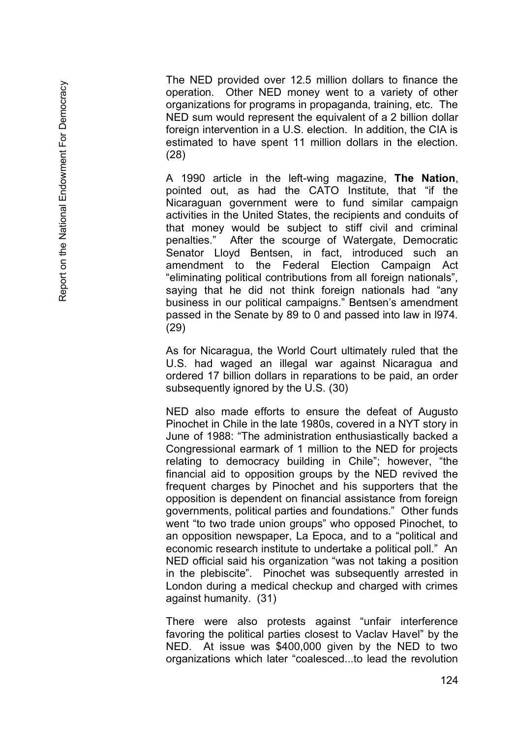The NED provided over 12.5 million dollars to finance the operation. Other NED money went to a variety of other organizations for programs in propaganda, training, etc. The NED sum would represent the equivalent of a 2 billion dollar foreign intervention in a U.S. election. In addition, the CIA is estimated to have spent 11 million dollars in the election. (28)

A 1990 article in the left -wing magazine, **The Nation**, pointed out, as had the CATO Institute, that "if the Nicaraguan government were to fund similar campaign activities in the United States, the recipients and conduits of that money would be subject to stiff civil and criminal penalties." After the scourge of Watergate, Democratic After the scourge of Watergate, Democratic Senator Lloyd Bentsen, in fact, introduced such an amendment to the Federal Election Campaign Act "eliminating political contributions from all foreign nationals", saying that he did not think foreign nationals had "any business in our political campaigns." Bentsen's amendment passed in the Senate by 89 to 0 and passed into law in l974. (29)

As for Nicaragua, the World Court ultimately ruled that the U.S. had waged an illegal war against Nicaragua and ordered 17 billion dollars in reparations to be paid, an order subsequently ignored by the U.S. (30)

NED also made efforts to ensure the defeat of Augusto Pinochet in Chile in the late 1980s, covered in a NYT story in June of 1988: "The administration enthusiastically backed a Congressional earmark of 1 million to the NED for projects relating to democracy building in Chile"; however, "the financial aid to opposition groups by the NED revived the frequent charges by Pinochet and his supporters that the opposition is dependent on financial assistance from foreign governments, political parties and foundations." Other funds went "to two trade union groups" who opposed Pinochet, to an opposition newspaper, La Epoca, and to a "political and economic research institute to undertake a political poll." An NED official said his organization "was not taking a position in the plebiscite". Pinochet was subsequently arrested in London during a medical checkup and charged with crimes against humanity. (31)

There were also protests against "unfair interference favoring the political parties closest to Vaclav Havel" by the NED. At issue was \$400,000 given by the NED to two organizations which later "coalesced...to lead the revolution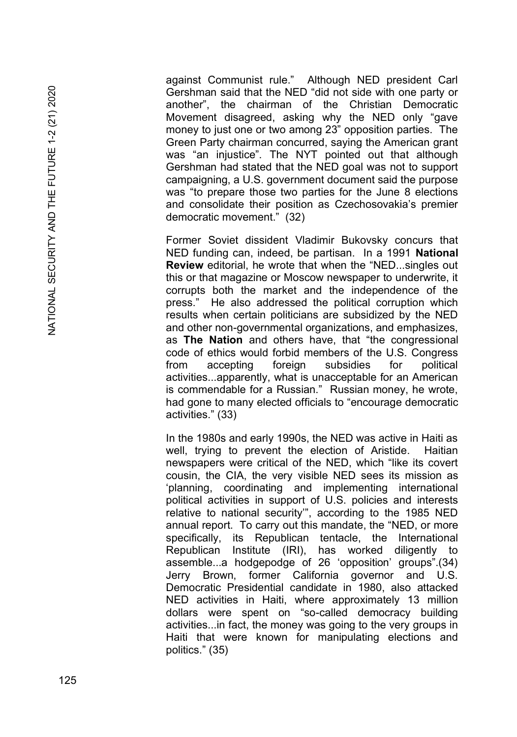against Communist rule." Although NED president Carl Gershman said that the NED "did not side with one party or another", the chairman of the Christian Democratic Movement disagreed, asking why the NED only "gave money to just one or two among 23" opposition parties. The Green Party chairman concurred, saying the American grant was "an injustice". The NYT pointed out that although Gershman had stated that the NED goal was not to support campaigning, a U.S. government document said the purpose was "to prepare those two parties for the June 8 elections and consolidate their position as Czechosovakia's premier democratic movement." (32 )

Former Soviet dissident Vladimir Bukovsky concurs that NED funding can, indeed, be partisan. In a 1991 **National Review** editorial, he wrote that when the "NED...singles out this or that magazine or Moscow newspaper to underwrite, it corrupts both the market and the independence of the press." He also addressed the political corruption which results when certain politicians are subsidized by the NED and other non -governmental organizations, and emphasizes, as **The Nation** and others have, that "the congressional code of ethics would forbid members of the U.S. Congress from accepting foreign subsidies for political activities...apparently, what is unacceptable for an American is commendable for a Russian." Russian money, he wrote, had gone to many elected officials to "encourage democratic activities." (33)

In the 1980s and early 1990s, the NED was active in Haiti as well, trying to prevent the election of Aristide. Haitian newspapers were critical of the NED, which "like its covert cousin, the CIA, the very visible NED sees its mission as 'planning, coordinating and implementing international political activities in support of U.S. policies and interests relative to national security'", according to the 1985 NED annual report. To carry out this mandate, the "NED, or more specifically, its Republican tentacle, the International Republican Institute (IRI), has worked diligently to assemble...a hodgepodge of 26 'opposition' groups".(34) Jerry Brown, former California governor and U.S. Democratic Presidential candidate in 1980, also attacked NED activities in Haiti, where approximately 13 million dollars were spent on "so -called democracy building activities...in fact, the money was going to the very groups in Haiti that were known for manipulating elections and politics." (35)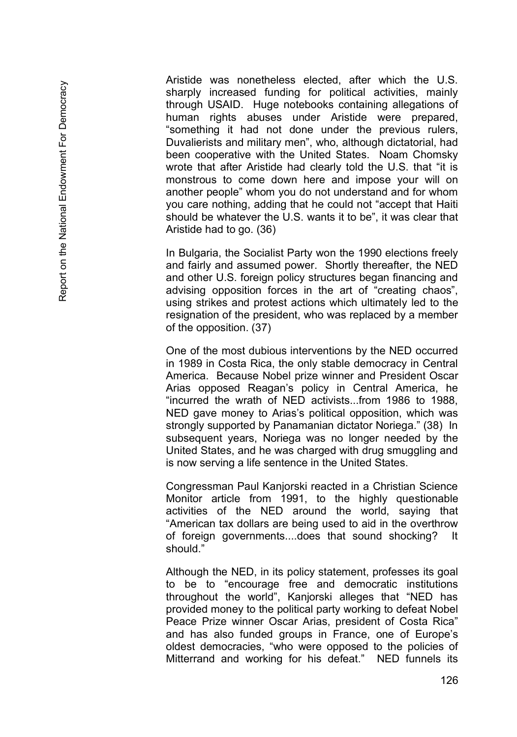Aristide was nonetheless elected, after which the U.S. sharply increased funding for political activities, mainly through USAID. Huge notebooks containing allegations of human rights abuses under Aristide were prepared, "something it had not done under the previous rulers, Duvalierists and military men", who, although dictatorial, had been cooperative with the United States. Noam Chomsky wrote that after Aristide had clearly told the U.S. that "it is monstrous to come down here and impose your will on another people" whom you do not understand and for whom you care nothing, adding that he could not "accept that Haiti should be whatever the U.S. wants it to be", it was clear that Aristide had to go. (36)

In Bulgaria, the Socialist Party won the 1990 elections freely and fairly and assumed power. Shortly thereafter, the NED and other U.S. foreign policy structures began financing and advising opposition forces in the art of "creating chaos", using strikes and protest actions which ultimately led to the resignation of the president, who was replaced by a member of the opposition. (37)

One of the most dubious interventions by the NED occurred in 1989 in Costa Rica, the only stable democracy in Central America. Because Nobel prize winner and President Oscar Arias opposed Reagan's policy in Central America, he "incurred the wrath of NED activists...from 1986 to 1988, NED gave money to Arias's political opposition, which was strongly supported by Panamanian dictator Noriega." (38) In subsequent years, Noriega was no longer needed by the United States, and he was charged with drug smuggling and is now serving a life sentence in the United States.

Congressman Paul Kanjorski reacted in a Christian Science Monitor article from 1991, to the highly questionable activities of the NED around the world, saying that "American tax dollars are being used to aid in the overthrow of foreign governments....does that sound shocking? It should."

Although the NED, in its policy statement, professes its goal to be to "encourage free and democratic institutions throughout the world", Kanjorski alleges that "NED has provided money to the political party working to defeat Nobel Peace Prize winner Oscar Arias, president of Costa Rica" and has also funded groups in France, one of Europe's oldest democracies, "who were opposed to the policies of Mitterrand and working for his defeat." NED funnels its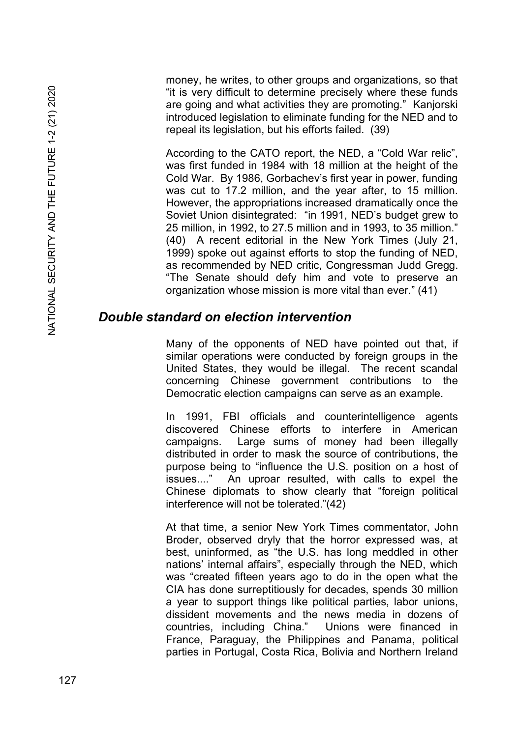money, he writes, to other groups and organizations, so that "it is very difficult to determine precisely where these funds are going and what activities they are promoting." Kanjorski introduced legislation to eliminate funding for the NED and to repeal its legislation, but his efforts failed. (39)

According to the CATO report, the NED, a "Cold War relic", was first funded in 1984 with 18 million at the height of the Cold War. By 1986, Gorbachev's first year in power, funding was cut to 17.2 million, and the year after, to 15 million. However, the appropriations increased dramatically once the Soviet Union disintegrated: "in 1991, NED's budget grew to 25 million, in 1992, to 27.5 million and in 1993, to 35 million." (40) A recent editorial in the New York Times (July 21, 1999) spoke out against efforts to stop the funding of NED, as recommended by NED critic, Congressman Judd Gregg. "The Senate should defy him and vote to preserve an organization whose mission is more vital than ever." (41)

## *Double standard on election intervention*

Many of the opponents of NED have pointed out that, if similar operations were conducted by foreign groups in the United States, they would be illegal. The recent scandal concerning Chinese government contributions to the Democratic election campaigns can serve as an example.

In 1991, FBI officials and counterintelligence agents discovered Chinese efforts to interfere in American campaigns. Large sums of money had been illegally distributed in order to mask the source of contributions, the purpose being to "influence the U.S. position on a host of issues...." An uproar resulted, with calls to expel the Chinese diplomats to show clearly that "foreign political interference will not be tolerated."(42)

At that time, a senior New York Times commentator, John Broder, observed dryly that the horror expressed was, at best, uninformed, as "the U.S. has long meddled in other nations' internal affairs", especially through the NED, which was "created fifteen years ago to do in the open what the CIA has done surreptitiously for decades, spends 30 million a year to support things like political parties, labor unions, dissident movements and the news media in dozens of countries, including China." Unions were financed in France, Paraguay, the Philippines and Panama, political parties in Portugal, Costa Rica, Bolivia and Northern Ireland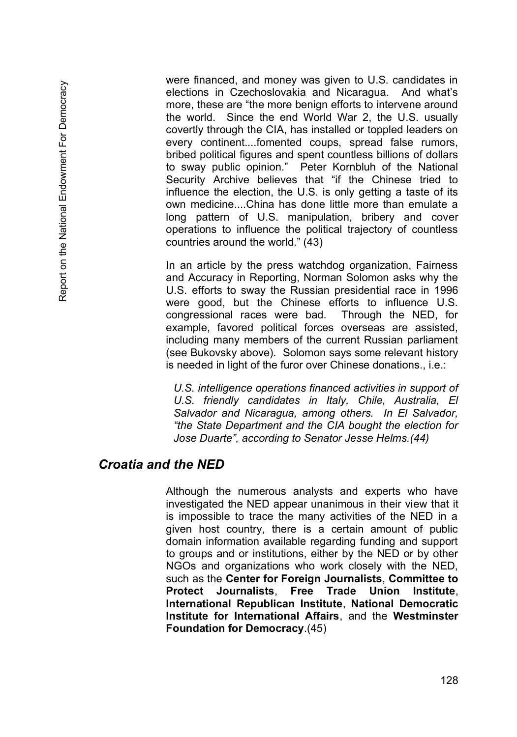were financed, and money was given to U.S. candidates in elections in Czechoslovakia and Nicaragua. And what's more, these are "the more benign efforts to intervene around the world. Since the end World War 2, the U.S. usually covertly through the CIA, has installed or toppled leaders on every continent....fomented coups, spread false rumors, bribed political figures and spent countless billions of dollars to sway public opinion." Peter Kornbluh of the National Security Archive believes that "if the Chinese tried to influence the election, the U.S. is only getting a taste of its own medicine....China has done little more than emulate a long pattern of U.S. manipulation, bribery and cover operations to influence the political trajectory of countless countries around the world." (43)

In an article by the press watchdog organization, Fairness and Accuracy in Reporting, Norman Solomon asks why the U.S. efforts to sway the Russian presidential race in 1996 were good, but the Chinese efforts to influence U.S. congressional races were bad. Through the NED, for example, favored political forces overseas are assisted, including many members of the current Russian parliament (see Bukovsky above). Solomon says some relevant history is needed in light of the furor over Chinese donations., i.e.:

*U.S. intelligence operations financed activities in support of U.S. friendly candidates in Italy, Chile, Australia, El Salvador and Nicaragua, among others. In El Salvador, "the State Department and the CIA bought the election for Jose Duarte", according to Senator Jesse Helms.(44)*

# *Croatia and the NED*

Although the numerous analysts and experts who have investigated the NED appear unanimous in their view that it is impossible to trace the many activities of the NED in a given host country, there is a certain amount of public domain information available regarding funding and support to groups and or institutions, either by the NED or by other NGOs and organizations who work closely with the NED, such as the **Center for Foreign Journalists**, **Committee to Protect Journalists**, **Free Trade Union Institute**, **International Republican Institute**, **National Democratic Institute for International Affairs**, and the **Westminster Foundation for Democracy**.(45)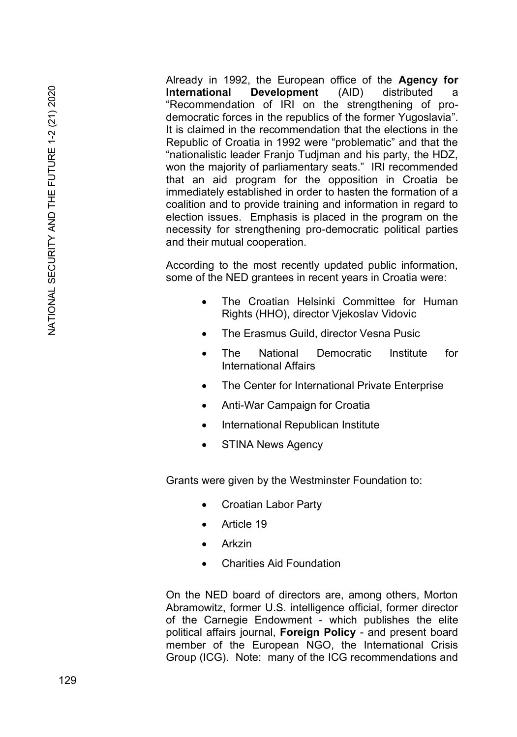Already in 1992, the European office of the **Agency for International Development** (AID) distributed a "Recommendation of IRI on the strengthening of prodemocratic forces in the republics of the former Yugoslavia". It is claimed in the recommendation that the elections in the Republic of Croatia in 1992 were "problematic" and that the "nationalistic leader Franjo Tudjman and his party, the HDZ, won the majority of parliamentary seats." IRI recommended that an aid program for the opposition in Croatia be immediately established in order to hasten the formation of a coalition and to provide training and information in regard to election issues. Emphasis is placed in the program on the necessity for strengthening pro-democratic political parties and their mutual cooperation.

According to the most recently updated public information, some of the NED grantees in recent years in Croatia were:

- The Croatian Helsinki Committee for Human Rights (HHO), director Vjekoslav Vidovic
- The Erasmus Guild, director Vesna Pusic
- The National Democratic Institute for International Affairs
- The Center for International Private Enterprise
- Anti-War Campaign for Croatia
- International Republican Institute
- **STINA News Agency**

Grants were given by the Westminster Foundation to:

- Croatian Labor Party
- Article 19
- Arkzin
- Charities Aid Foundation

On the NED board of directors are, among others, Morton Abramowitz, former U.S. intelligence official, former director of the Carnegie Endowment - which publishes the elite political affairs journal, **Foreign Policy** - and present board member of the European NGO, the International Crisis Group (ICG). Note: many of the ICG recommendations and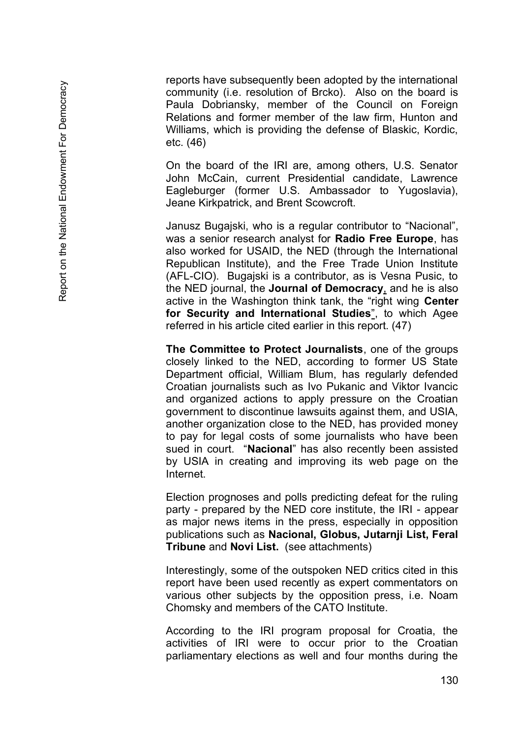reports have subsequently been adopted by the international community (i.e. resolution of Brcko). Also on the board is Paula Dobriansky, member of the Council on Foreign Relations and former member of the law firm, Hunton and Williams, which is providing the defense of Blaskic, Kordic, etc. (46)

On the board of the IRI are, among others, U.S. Senator John McCain, current Presidential candidate, Lawrence Eagleburger (former U.S. Ambassador to Yugoslavia), Jeane Kirkpatrick, and Brent Scowcroft.

Janusz Bugajski, who is a regular contributor to "Nacional", was a senior research analyst for **Radio Free Europe**, has also worked for USAID, the NED (through the International Republican Institute), and the Free Trade Union Institute (AFL -CIO). Bugajski is a contributor, as is Vesna Pusic, to the NED journal, the **Journal of Democracy** , and he is also active in the Washington think tank, the "right wing **Center for Security and International Studies** ", to which Agee referred in his article cited earlier in this report. (47)

**The Committee to Protect Journalists**, one of the groups closely linked to the NED, according to former US State Department official, William Blum, has regularly defended Croatian journalists such as Ivo Pukanic and Viktor Ivancic and organized actions to apply pressure on the Croatian government to discontinue lawsuits against them, and USIA, another organization close to the NED, has provided money to pay for legal costs of some journalists who have been sued in court. "**Nacional**" has also recently been assisted by USIA in creating and improving its web page on the Internet.

Election prognoses and polls predicting defeat for the ruling party - prepared by the NED core institute, the IRI - appear as major news items in the press, especially in opposition publications such as **Nacional, Globus, Jutarnji List, Feral Tribune** and **Novi List.** (see attachments)

Interestingly, some of the outspoken NED critics cited in this report have been used recently as expert commentators on various other subjects by the opposition press, i.e. Noam Chomsky and members of the CATO Institute.

According to the IRI program proposal for Croatia, the activities of IRI were to occur prior to the Croatian parliamentary elections as well and four months during the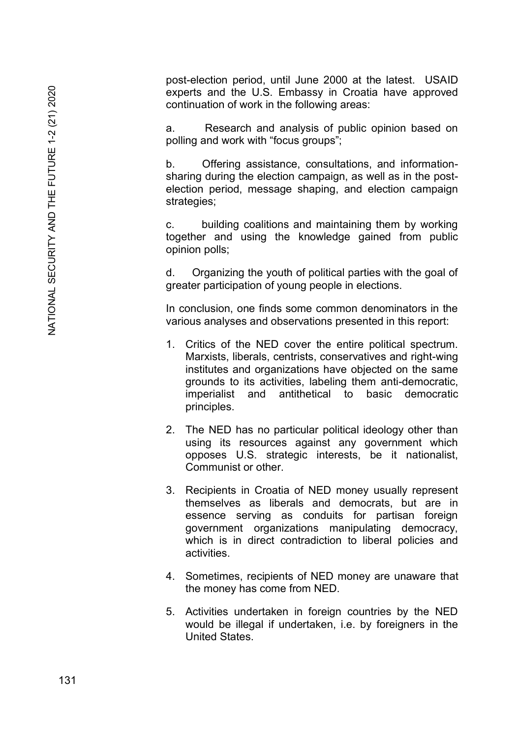post-election period, until June 2000 at the latest. USAID experts and the U.S. Embassy in Croatia have approved continuation of work in the following areas:

a. Research and analysis of public opinion based on polling and work with "focus groups";

b. Offering assistance, consultations, and informationsharing during the election campaign, as well as in the postelection period, message shaping, and election campaign strategies;

c. building coalitions and maintaining them by working together and using the knowledge gained from public opinion polls;

d. Organizing the youth of political parties with the goal of greater participation of young people in elections.

In conclusion, one finds some common denominators in the various analyses and observations presented in this report:

- 1. Critics of the NED cover the entire political spectrum. Marxists, liberals, centrists, conservatives and right-wing institutes and organizations have objected on the same grounds to its activities, labeling them anti-democratic, imperialist and antithetical to basic democratic principles.
- 2. The NED has no particular political ideology other than using its resources against any government which opposes U.S. strategic interests, be it nationalist, Communist or other.
- 3. Recipients in Croatia of NED money usually represent themselves as liberals and democrats, but are in essence serving as conduits for partisan foreign government organizations manipulating democracy, which is in direct contradiction to liberal policies and activities.
- 4. Sometimes, recipients of NED money are unaware that the money has come from NED.
- 5. Activities undertaken in foreign countries by the NED would be illegal if undertaken, i.e. by foreigners in the United States.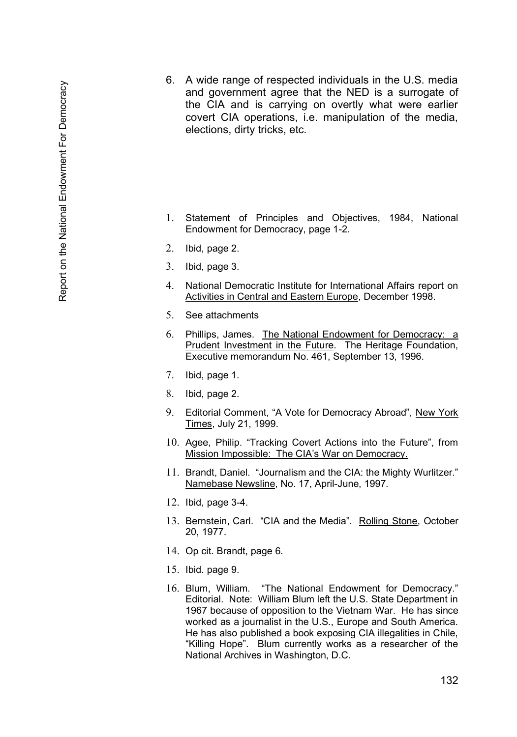6. A wide range of respected individuals in the U.S. media and government agree that the NED is a surrogate of the CIA and is carrying on overtly what were earlier covert CIA operations, i.e. manipulation of the media, elections, dirty tricks, etc.

- 1. Statement of Principles and Objectives, 1984, National Endowment for Democracy, page 1 -2.
- 2. Ibid, page 2.
- 3. Ibid, page 3.
- 4. National Democratic Institute for International Affairs report on Activities in Central and Eastern Europe, December 1998.
- 5. See attachments
- 6. Phillips, James. The National Endowment for Democracy: a Prudent Investment in the Future. The Heritage Foundation, Executive memorandum No. 461, September 13, 1996.
- 7. Ibid, page 1.
- 8. Ibid, page 2.
- 9. Editorial Comment, "A Vote for Democracy Abroad", New York Times, July 21, 1999.
- 10. Agee, Philip. "Tracking Covert Actions into the Future", from Mission Impossible: The CIA's War on Democracy.
- 11. Brandt, Daniel. "Journalism and the CIA: the Mighty Wurlitzer." Namebase Newsline, No. 17, April -June, 1997.
- 12. Ibid, page 3 -4.
- 13. Bernstein, Carl. "CIA and the Media". Rolling Stone, October 20, 1977.
- 14. Op cit. Brandt, page 6.
- 15. Ibid. page 9.
- 16. Blum, William. "The National Endowment for Democracy." Editorial. Note: William Blum left the U.S. State Department in 1967 because of opposition to the Vietnam War. He has since worked as a journalist in the U.S., Europe and South America. He has also published a book exposing CIA illegalities in Chile, "Killing Hope". Blum currently works as a researcher of the National Archives in Washington, D.C.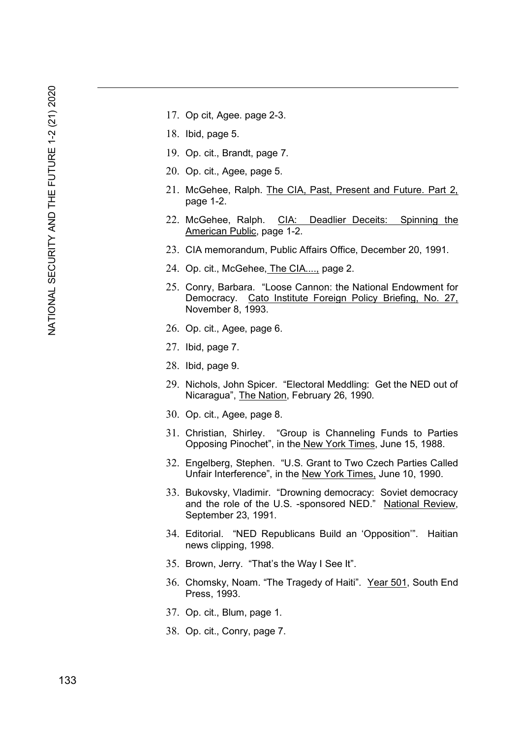- 17. Op cit, Agee. page 2-3.
- 18. Ibid, page 5.
- 19. Op. cit., Brandt, page 7.
- 20. Op. cit., Agee, page 5.
- 21. McGehee, Ralph. The CIA, Past, Present and Future. Part 2, page 1-2.
- 22. McGehee, Ralph. CIA: Deadlier Deceits: Spinning the American Public, page 1-2.
- 23. CIA memorandum, Public Affairs Office, December 20, 1991.
- 24. Op. cit., McGehee, The CIA...., page 2.
- 25. Conry, Barbara. "Loose Cannon: the National Endowment for Democracy. Cato Institute Foreign Policy Briefing, No. 27, November 8, 1993.
- 26. Op. cit., Agee, page 6.
- 27. Ibid, page 7.
- 28. Ibid, page 9.
- 29. Nichols, John Spicer. "Electoral Meddling: Get the NED out of Nicaragua", The Nation, February 26, 1990.
- 30. Op. cit., Agee, page 8.
- 31. Christian, Shirley. "Group is Channeling Funds to Parties Opposing Pinochet", in the New York Times, June 15, 1988.
- 32. Engelberg, Stephen. "U.S. Grant to Two Czech Parties Called Unfair Interference", in the New York Times, June 10, 1990.
- 33. Bukovsky, Vladimir. "Drowning democracy: Soviet democracy and the role of the U.S. -sponsored NED." National Review, September 23, 1991.
- 34. Editorial. "NED Republicans Build an 'Opposition'". Haitian news clipping, 1998.
- 35. Brown, Jerry. "That's the Way I See It".
- 36. Chomsky, Noam. "The Tragedy of Haiti". Year 501, South End Press, 1993.
- 37. Op. cit., Blum, page 1.
- 38. Op. cit., Conry, page 7.